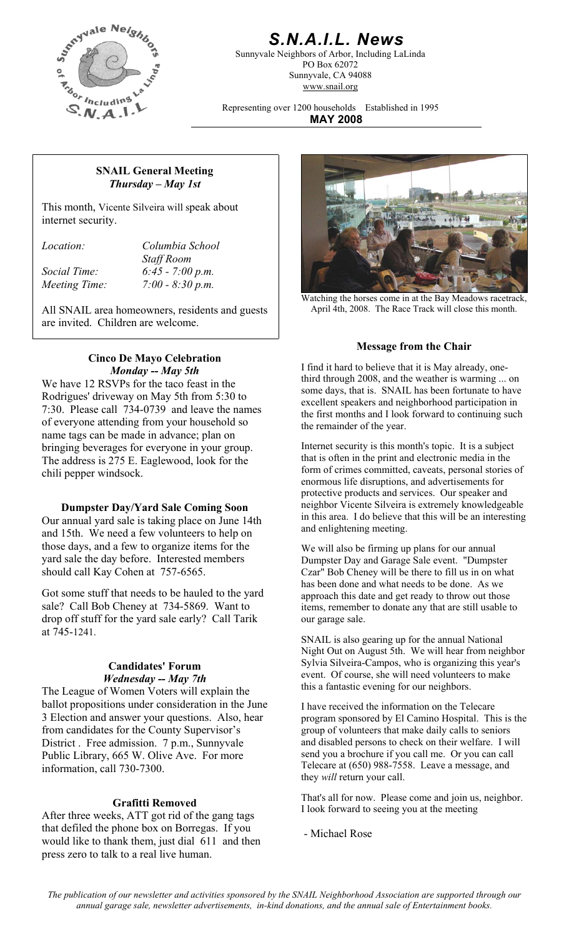

## *S.N.A.I.L. News*

Sunnyvale Neighbors of Arbor, Including LaLinda PO Box 62072 Sunnyvale, CA 94088 www.snail.org

Representing over 1200 households Established in 1995 **MAY 2008**

#### **SNAIL General Meeting**  *Thursday – May 1st*

This month, Vicente Silveira will speak about internet security.

*Location: Columbia School Staff Room Social Time: 6:45 - 7:00 p.m. Meeting Time: 7:00 - 8:30 p.m.* 

All SNAIL area homeowners, residents and guests are invited. Children are welcome.

# **Cinco De Mayo Celebration**

We have 12 RSVPs for the taco feast in the Rodrigues' driveway on May 5th from 5:30 to 7:30. Please call 734-0739 and leave the names of everyone attending from your household so name tags can be made in advance; plan on bringing beverages for everyone in your group. The address is 275 E. Eaglewood, look for the chili pepper windsock.

#### **Dumpster Day/Yard Sale Coming Soon**

Our annual yard sale is taking place on June 14th and 15th. We need a few volunteers to help on those days, and a few to organize items for the yard sale the day before. Interested members should call Kay Cohen at 757-6565.

Got some stuff that needs to be hauled to the yard sale? Call Bob Cheney at 734-5869. Want to drop off stuff for the yard sale early? Call Tarik at 745-1241.

#### **Candidates' Forum**  *Wednesday -- May 7th*

The League of Women Voters will explain the ballot propositions under consideration in the June 3 Election and answer your questions. Also, hear from candidates for the County Supervisor's District . Free admission. 7 p.m., Sunnyvale Public Library, 665 W. Olive Ave. For more information, call 730-7300.

After three weeks, ATT got rid of the gang tags that defiled the phone box on Borregas. If you would like to thank them, just dial 611 and then press zero to talk to a real live human.



Watching the horses come in at the Bay Meadows racetrack, April 4th, 2008. The Race Track will close this month.

#### **Message from the Chair**

*Monday -- May 5th* I find it hard to believe that it is May already, onethird through 2008, and the weather is warming ... on some days, that is. SNAIL has been fortunate to have excellent speakers and neighborhood participation in the first months and I look forward to continuing such the remainder of the year.

> Internet security is this month's topic. It is a subject that is often in the print and electronic media in the form of crimes committed, caveats, personal stories of enormous life disruptions, and advertisements for protective products and services. Our speaker and neighbor Vicente Silveira is extremely knowledgeable in this area. I do believe that this will be an interesting and enlightening meeting.

We will also be firming up plans for our annual Dumpster Day and Garage Sale event. "Dumpster Czar" Bob Cheney will be there to fill us in on what has been done and what needs to be done. As we approach this date and get ready to throw out those items, remember to donate any that are still usable to our garage sale.

SNAIL is also gearing up for the annual National Night Out on August 5th. We will hear from neighbor Sylvia Silveira-Campos, who is organizing this year's event. Of course, she will need volunteers to make this a fantastic evening for our neighbors.

I have received the information on the Telecare program sponsored by El Camino Hospital. This is the group of volunteers that make daily calls to seniors and disabled persons to check on their welfare. I will send you a brochure if you call me. Or you can call Telecare at (650) 988-7558. Leave a message, and they *will* return your call.

That's all for now. Please come and join us, neighbor. **Grafitti Removed**<br>I look forward to seeing you at the meeting<br>I look forward to seeing you at the meeting

- Michael Rose